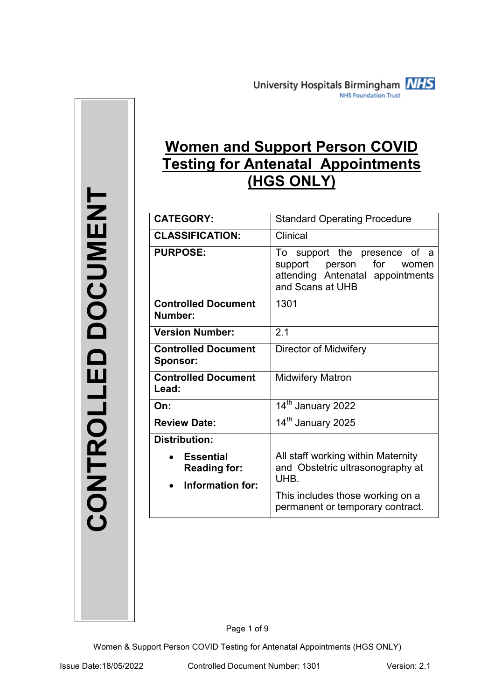University Hospitals Birmingham MHS **NHS Foundation Trust** 

**Women and Support Person COVID Testing for Antenatal Appointments (HGS ONLY)**

| <b>CATEGORY:</b>                                            | <b>Standard Operating Procedure</b>                                                                                             |  |
|-------------------------------------------------------------|---------------------------------------------------------------------------------------------------------------------------------|--|
| <b>CLASSIFICATION:</b>                                      | Clinical                                                                                                                        |  |
| <b>PURPOSE:</b>                                             | support the presence of a<br>To<br>for<br>support<br>person<br>women<br>appointments<br>attending Antenatal<br>and Scans at UHB |  |
| <b>Controlled Document</b><br>Number:                       | 1301                                                                                                                            |  |
| <b>Version Number:</b>                                      | 2.1                                                                                                                             |  |
| <b>Controlled Document</b><br>Sponsor:                      | Director of Midwifery                                                                                                           |  |
| <b>Controlled Document</b><br>Lead:                         | <b>Midwifery Matron</b>                                                                                                         |  |
| On:                                                         | 14 <sup>th</sup> January 2022                                                                                                   |  |
| <b>Review Date:</b>                                         | 14 <sup>th</sup> January 2025                                                                                                   |  |
| <b>Distribution:</b>                                        |                                                                                                                                 |  |
| <b>Essential</b><br><b>Reading for:</b><br>Information for: | All staff working within Maternity<br>and Obstetric ultrasonography at<br>UHB.                                                  |  |
|                                                             | This includes those working on a<br>permanent or temporary contract.                                                            |  |

**CONTROLLED DOCUMENT**CONTROLLED DOCUMENT

Page 1 of 9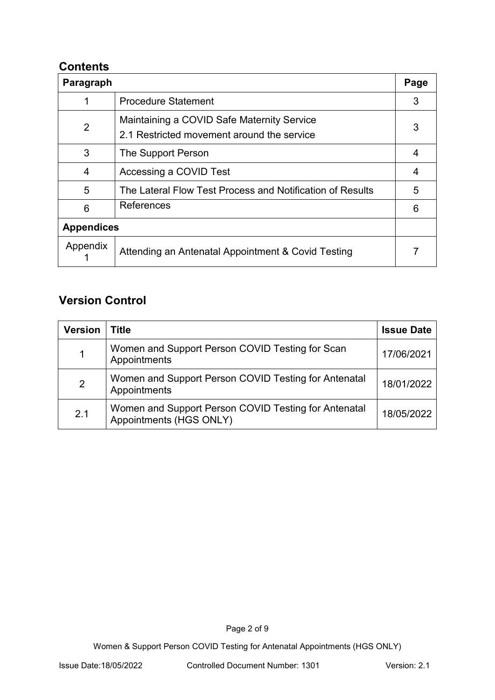# **Contents**

| Paragraph         |                                                                                          | Page |
|-------------------|------------------------------------------------------------------------------------------|------|
| 1                 | <b>Procedure Statement</b>                                                               |      |
| 2                 | Maintaining a COVID Safe Maternity Service<br>2.1 Restricted movement around the service |      |
| 3                 | The Support Person                                                                       |      |
| 4                 | Accessing a COVID Test                                                                   |      |
| 5                 | The Lateral Flow Test Process and Notification of Results                                |      |
| 6                 | References                                                                               |      |
| <b>Appendices</b> |                                                                                          |      |
| Appendix          | Attending an Antenatal Appointment & Covid Testing                                       |      |

# **Version Control**

| <b>Version</b> | Title                                                                           | <b>Issue Date</b> |
|----------------|---------------------------------------------------------------------------------|-------------------|
|                | Women and Support Person COVID Testing for Scan<br>Appointments                 | 17/06/2021        |
| $\overline{2}$ | Women and Support Person COVID Testing for Antenatal<br>Appointments            | 18/01/2022        |
| 2.1            | Women and Support Person COVID Testing for Antenatal<br>Appointments (HGS ONLY) |                   |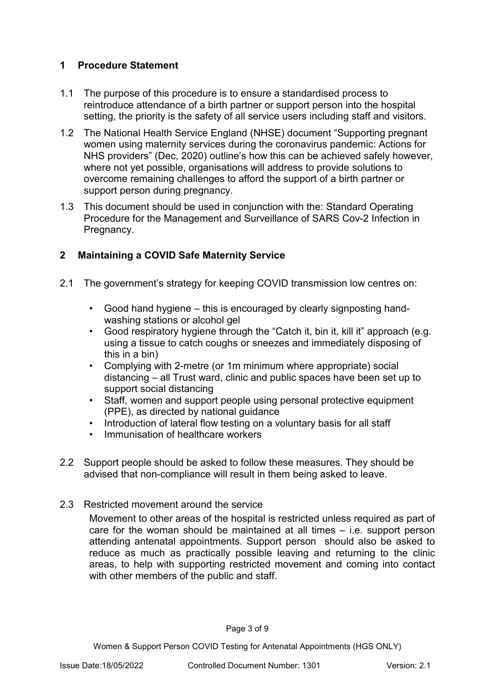## **1 Procedure Statement**

- 1.1 The purpose of this procedure is to ensure a standardised process to reintroduce attendance of a birth partner or support person into the hospital setting, the priority is the safety of all service users including staff and visitors.
- 1.2 The National Health Service England (NHSE) document "Supporting pregnant women using maternity services during the coronavirus pandemic: Actions for NHS providers" (Dec, 2020) outline's how this can be achieved safely however, where not yet possible, organisations will address to provide solutions to overcome remaining challenges to afford the support of a birth partner or support person during pregnancy.
- 1.3 This document should be used in conjunction with the: Standard Operating Procedure for the Management and Surveillance of SARS Cov-2 Infection in Pregnancy.

# **2 Maintaining a COVID Safe Maternity Service**

- 2.1 The government's strategy for keeping COVID transmission low centres on:
	- Good hand hygiene this is encouraged by clearly signposting handwashing stations or alcohol gel
	- Good respiratory hygiene through the "Catch it, bin it, kill it" approach (e.g. using a tissue to catch coughs or sneezes and immediately disposing of this in a bin)
	- Complying with 2-metre (or 1m minimum where appropriate) social distancing – all Trust ward, clinic and public spaces have been set up to support social distancing
	- Staff, women and support people using personal protective equipment (PPE), as directed by national guidance
	- Introduction of lateral flow testing on a voluntary basis for all staff
	- Immunisation of healthcare workers
- 2.2 Support people should be asked to follow these measures. They should be advised that non-compliance will result in them being asked to leave.
- 2.3 Restricted movement around the service

Movement to other areas of the hospital is restricted unless required as part of care for the woman should be maintained at all times – i.e. support person attending antenatal appointments. Support person should also be asked to reduce as much as practically possible leaving and returning to the clinic areas, to help with supporting restricted movement and coming into contact with other members of the public and staff.

Page 3 of 9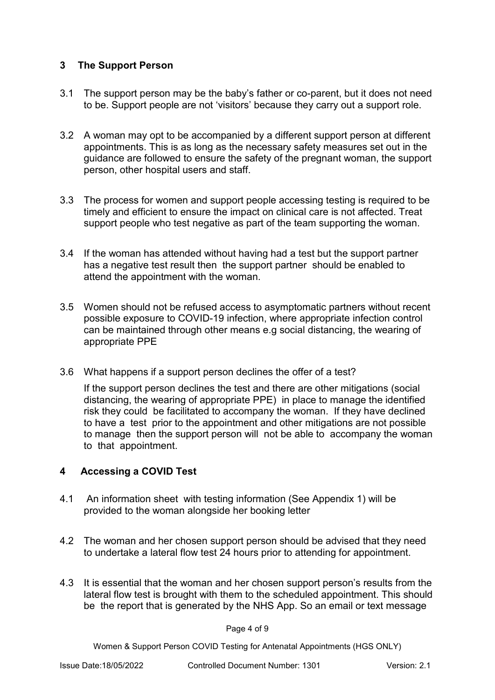### **3 The Support Person**

- 3.1 The support person may be the baby's father or co-parent, but it does not need to be. Support people are not 'visitors' because they carry out a support role.
- 3.2 A woman may opt to be accompanied by a different support person at different appointments. This is as long as the necessary safety measures set out in the guidance are followed to ensure the safety of the pregnant woman, the support person, other hospital users and staff.
- 3.3 The process for women and support people accessing testing is required to be timely and efficient to ensure the impact on clinical care is not affected. Treat support people who test negative as part of the team supporting the woman.
- 3.4 If the woman has attended without having had a test but the support partner has a negative test result then the support partner should be enabled to attend the appointment with the woman.
- 3.5 Women should not be refused access to asymptomatic partners without recent possible exposure to COVID-19 infection, where appropriate infection control can be maintained through other means e.g social distancing, the wearing of appropriate PPE
- 3.6 What happens if a support person declines the offer of a test?

If the support person declines the test and there are other mitigations (social distancing, the wearing of appropriate PPE) in place to manage the identified risk they could be facilitated to accompany the woman. If they have declined to have a test prior to the appointment and other mitigations are not possible to manage then the support person will not be able to accompany the woman to that appointment.

## **4 Accessing a COVID Test**

- 4.1 An information sheet with testing information (See Appendix 1) will be provided to the woman alongside her booking letter
- 4.2 The woman and her chosen support person should be advised that they need to undertake a lateral flow test 24 hours prior to attending for appointment.
- 4.3 It is essential that the woman and her chosen support person's results from the lateral flow test is brought with them to the scheduled appointment. This should be the report that is generated by the NHS App. So an email or text message

Page 4 of 9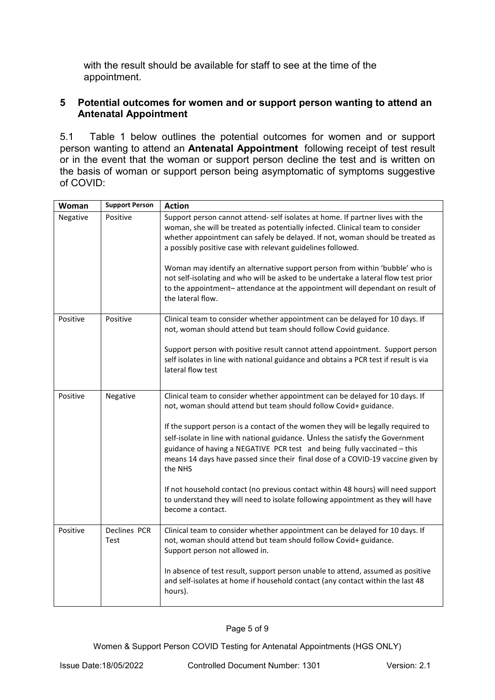with the result should be available for staff to see at the time of the appointment.

### **5 Potential outcomes for women and or support person wanting to attend an Antenatal Appointment**

5.1 Table 1 below outlines the potential outcomes for women and or support person wanting to attend an **Antenatal Appointment** following receipt of test result or in the event that the woman or support person decline the test and is written on the basis of woman or support person being asymptomatic of symptoms suggestive of COVID:

| Woman    | <b>Support Person</b> | <b>Action</b>                                                                                                                                                                                                                                                                                                                                                                                   |
|----------|-----------------------|-------------------------------------------------------------------------------------------------------------------------------------------------------------------------------------------------------------------------------------------------------------------------------------------------------------------------------------------------------------------------------------------------|
| Negative | Positive              | Support person cannot attend- self isolates at home. If partner lives with the<br>woman, she will be treated as potentially infected. Clinical team to consider<br>whether appointment can safely be delayed. If not, woman should be treated as<br>a possibly positive case with relevant guidelines followed.<br>Woman may identify an alternative support person from within 'bubble' who is |
|          |                       | not self-isolating and who will be asked to be undertake a lateral flow test prior<br>to the appointment-attendance at the appointment will dependant on result of<br>the lateral flow.                                                                                                                                                                                                         |
| Positive | Positive              | Clinical team to consider whether appointment can be delayed for 10 days. If<br>not, woman should attend but team should follow Covid guidance.                                                                                                                                                                                                                                                 |
|          |                       | Support person with positive result cannot attend appointment. Support person<br>self isolates in line with national guidance and obtains a PCR test if result is via<br>lateral flow test                                                                                                                                                                                                      |
| Positive | Negative              | Clinical team to consider whether appointment can be delayed for 10 days. If<br>not, woman should attend but team should follow Covid+ guidance.                                                                                                                                                                                                                                                |
|          |                       | If the support person is a contact of the women they will be legally required to                                                                                                                                                                                                                                                                                                                |
|          |                       | self-isolate in line with national guidance. Unless the satisfy the Government                                                                                                                                                                                                                                                                                                                  |
|          |                       | guidance of having a NEGATIVE PCR test and being fully vaccinated - this<br>means 14 days have passed since their final dose of a COVID-19 vaccine given by<br>the NHS                                                                                                                                                                                                                          |
|          |                       | If not household contact (no previous contact within 48 hours) will need support<br>to understand they will need to isolate following appointment as they will have<br>become a contact.                                                                                                                                                                                                        |
| Positive | Declines PCR<br>Test  | Clinical team to consider whether appointment can be delayed for 10 days. If<br>not, woman should attend but team should follow Covid+ guidance.<br>Support person not allowed in.                                                                                                                                                                                                              |
|          |                       | In absence of test result, support person unable to attend, assumed as positive<br>and self-isolates at home if household contact (any contact within the last 48<br>hours).                                                                                                                                                                                                                    |

#### Page 5 of 9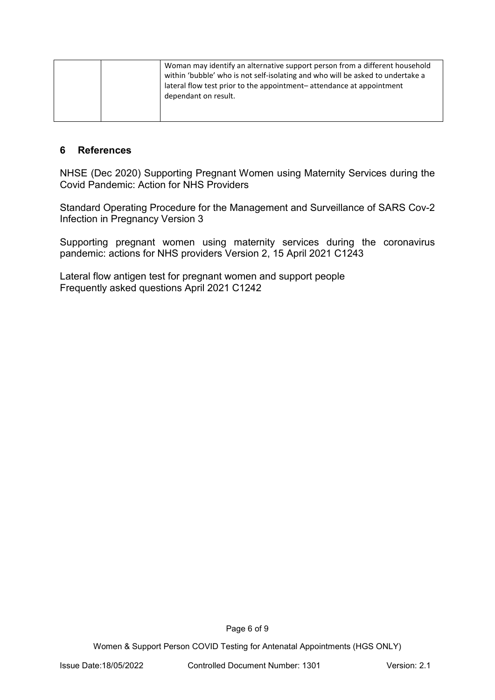|  | Woman may identify an alternative support person from a different household<br>within 'bubble' who is not self-isolating and who will be asked to undertake a<br>lateral flow test prior to the appointment-attendance at appointment<br>dependant on result. |
|--|---------------------------------------------------------------------------------------------------------------------------------------------------------------------------------------------------------------------------------------------------------------|
|  |                                                                                                                                                                                                                                                               |

### **6 References**

NHSE (Dec 2020) Supporting Pregnant Women using Maternity Services during the Covid Pandemic: Action for NHS Providers

Standard Operating Procedure for the Management and Surveillance of SARS Cov-2 Infection in Pregnancy Version 3

Supporting pregnant women using maternity services during the coronavirus pandemic: actions for NHS providers Version 2, 15 April 2021 C1243

Lateral flow antigen test for pregnant women and support people Frequently asked questions April 2021 C1242

Page 6 of 9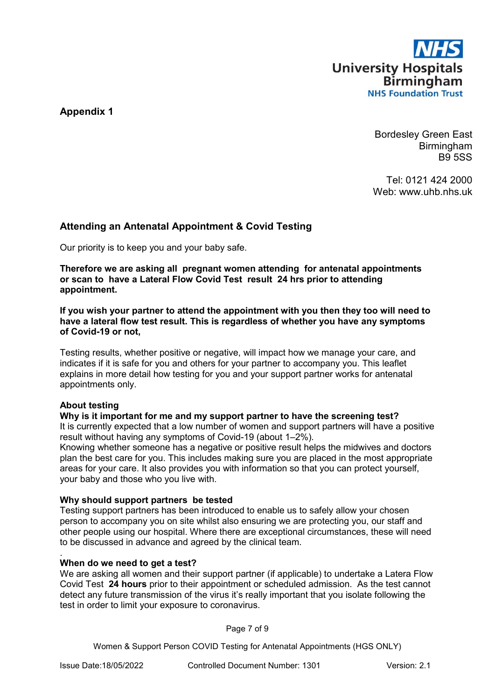

**Appendix 1**

Bordesley Green East Birmingham B9 5SS

Tel: 0121 424 2000 Web: www.uhb.nhs.uk

### **Attending an Antenatal Appointment & Covid Testing**

Our priority is to keep you and your baby safe.

**Therefore we are asking all pregnant women attending for antenatal appointments or scan to have a Lateral Flow Covid Test result 24 hrs prior to attending appointment.** 

**If you wish your partner to attend the appointment with you then they too will need to have a lateral flow test result. This is regardless of whether you have any symptoms of Covid-19 or not,**

Testing results, whether positive or negative, will impact how we manage your care, and indicates if it is safe for you and others for your partner to accompany you. This leaflet explains in more detail how testing for you and your support partner works for antenatal appointments only.

#### **About testing**

.

#### **Why is it important for me and my support partner to have the screening test?**

It is currently expected that a low number of women and support partners will have a positive result without having any symptoms of Covid-19 (about 1–2%).

Knowing whether someone has a negative or positive result helps the midwives and doctors plan the best care for you. This includes making sure you are placed in the most appropriate areas for your care. It also provides you with information so that you can protect yourself, your baby and those who you live with.

#### **Why should support partners be tested**

Testing support partners has been introduced to enable us to safely allow your chosen person to accompany you on site whilst also ensuring we are protecting you, our staff and other people using our hospital. Where there are exceptional circumstances, these will need to be discussed in advance and agreed by the clinical team.

#### **When do we need to get a test?**

We are asking all women and their support partner (if applicable) to undertake a Latera Flow Covid Test **24 hours** prior to their appointment or scheduled admission. As the test cannot detect any future transmission of the virus it's really important that you isolate following the test in order to limit your exposure to coronavirus.

Page 7 of 9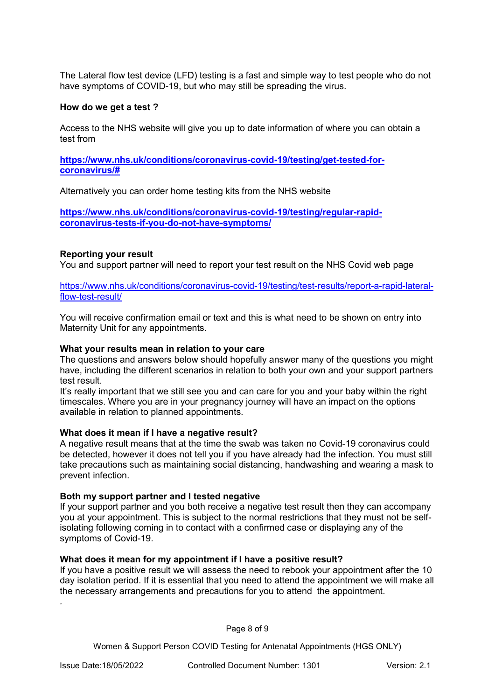The Lateral flow test device (LFD) testing is a fast and simple way to test people who do not have symptoms of COVID-19, but who may still be spreading the virus.

#### **How do we get a test ?**

Access to the NHS website will give you up to date information of where you can obtain a test from

**[https://www.nhs.uk/conditions/coronavirus-covid-19/testing/get-tested-for](https://www.nhs.uk/conditions/coronavirus-covid-19/testing/get-tested-for-coronavirus/)[coronavirus/#](https://www.nhs.uk/conditions/coronavirus-covid-19/testing/get-tested-for-coronavirus/)**

Alternatively you can order home testing kits from the NHS website

**[https://www.nhs.uk/conditions/coronavirus-covid-19/testing/regular-rapid](https://www.nhs.uk/conditions/coronavirus-covid-19/testing/regular-rapid-coronavirus-tests-if-you-do-not-have-symptoms/)[coronavirus-tests-if-you-do-not-have-symptoms/](https://www.nhs.uk/conditions/coronavirus-covid-19/testing/regular-rapid-coronavirus-tests-if-you-do-not-have-symptoms/)**

#### **Reporting your result**

You and support partner will need to report your test result on the NHS Covid web page

[https://www.nhs.uk/conditions/coronavirus-covid-19/testing/test-results/report-a-rapid-lateral](https://www.nhs.uk/conditions/coronavirus-covid-19/testing/test-results/report-a-rapid-lateral-flow-test-result/)[flow-test-result/](https://www.nhs.uk/conditions/coronavirus-covid-19/testing/test-results/report-a-rapid-lateral-flow-test-result/)

You will receive confirmation email or text and this is what need to be shown on entry into Maternity Unit for any appointments.

#### **What your results mean in relation to your care**

The questions and answers below should hopefully answer many of the questions you might have, including the different scenarios in relation to both your own and your support partners test result.

It's really important that we still see you and can care for you and your baby within the right timescales. Where you are in your pregnancy journey will have an impact on the options available in relation to planned appointments.

#### **What does it mean if I have a negative result?**

A negative result means that at the time the swab was taken no Covid-19 coronavirus could be detected, however it does not tell you if you have already had the infection. You must still take precautions such as maintaining social distancing, handwashing and wearing a mask to prevent infection.

#### **Both my support partner and I tested negative**

If your support partner and you both receive a negative test result then they can accompany you at your appointment. This is subject to the normal restrictions that they must not be selfisolating following coming in to contact with a confirmed case or displaying any of the symptoms of Covid-19.

#### **What does it mean for my appointment if I have a positive result?**

If you have a positive result we will assess the need to rebook your appointment after the 10 day isolation period. If it is essential that you need to attend the appointment we will make all the necessary arrangements and precautions for you to attend the appointment.

Page 8 of 9

Women & Support Person COVID Testing for Antenatal Appointments (HGS ONLY)

*.*